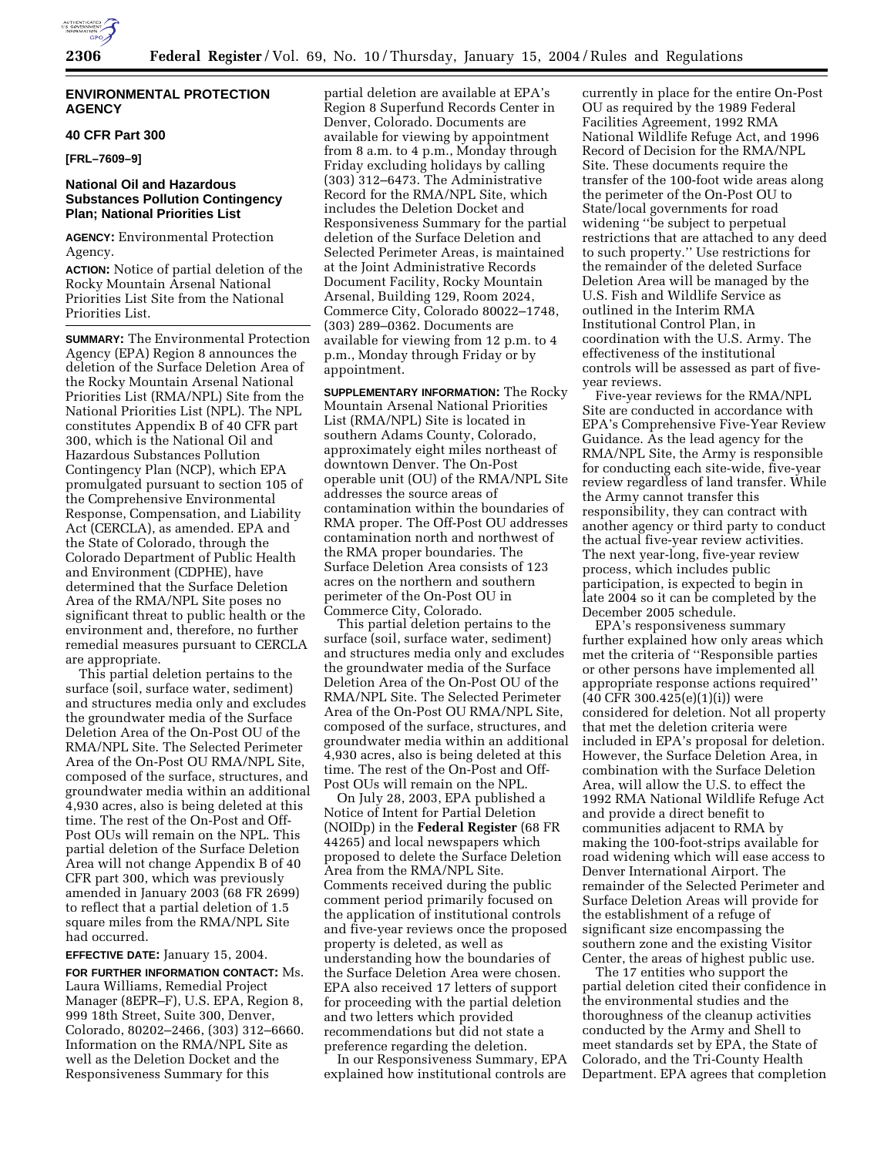

# **ENVIRONMENTAL PROTECTION AGENCY**

## **40 CFR Part 300**

**[FRL–7609–9]** 

# **National Oil and Hazardous Substances Pollution Contingency Plan; National Priorities List**

**AGENCY:** Environmental Protection Agency.

**ACTION:** Notice of partial deletion of the Rocky Mountain Arsenal National Priorities List Site from the National Priorities List.

**SUMMARY:** The Environmental Protection Agency (EPA) Region 8 announces the deletion of the Surface Deletion Area of the Rocky Mountain Arsenal National Priorities List (RMA/NPL) Site from the National Priorities List (NPL). The NPL constitutes Appendix B of 40 CFR part 300, which is the National Oil and Hazardous Substances Pollution Contingency Plan (NCP), which EPA promulgated pursuant to section 105 of the Comprehensive Environmental Response, Compensation, and Liability Act (CERCLA), as amended. EPA and the State of Colorado, through the Colorado Department of Public Health and Environment (CDPHE), have determined that the Surface Deletion Area of the RMA/NPL Site poses no significant threat to public health or the environment and, therefore, no further remedial measures pursuant to CERCLA are appropriate.

This partial deletion pertains to the surface (soil, surface water, sediment) and structures media only and excludes the groundwater media of the Surface Deletion Area of the On-Post OU of the RMA/NPL Site. The Selected Perimeter Area of the On-Post OU RMA/NPL Site, composed of the surface, structures, and groundwater media within an additional 4,930 acres, also is being deleted at this time. The rest of the On-Post and Off-Post OUs will remain on the NPL. This partial deletion of the Surface Deletion Area will not change Appendix B of 40 CFR part 300, which was previously amended in January 2003 (68 FR 2699) to reflect that a partial deletion of 1.5 square miles from the RMA/NPL Site had occurred.

# **EFFECTIVE DATE:** January 15, 2004.

**FOR FURTHER INFORMATION CONTACT:** Ms. Laura Williams, Remedial Project Manager (8EPR–F), U.S. EPA, Region 8, 999 18th Street, Suite 300, Denver, Colorado, 80202–2466, (303) 312–6660. Information on the RMA/NPL Site as well as the Deletion Docket and the Responsiveness Summary for this

partial deletion are available at EPA's Region 8 Superfund Records Center in Denver, Colorado. Documents are available for viewing by appointment from 8 a.m. to 4 p.m., Monday through Friday excluding holidays by calling (303) 312–6473. The Administrative Record for the RMA/NPL Site, which includes the Deletion Docket and Responsiveness Summary for the partial deletion of the Surface Deletion and Selected Perimeter Areas, is maintained at the Joint Administrative Records Document Facility, Rocky Mountain Arsenal, Building 129, Room 2024, Commerce City, Colorado 80022–1748, (303) 289–0362. Documents are available for viewing from 12 p.m. to 4 p.m., Monday through Friday or by appointment.

**SUPPLEMENTARY INFORMATION:** The Rocky Mountain Arsenal National Priorities List (RMA/NPL) Site is located in southern Adams County, Colorado, approximately eight miles northeast of downtown Denver. The On-Post operable unit (OU) of the RMA/NPL Site addresses the source areas of contamination within the boundaries of RMA proper. The Off-Post OU addresses contamination north and northwest of the RMA proper boundaries. The Surface Deletion Area consists of 123 acres on the northern and southern perimeter of the On-Post OU in Commerce City, Colorado.

This partial deletion pertains to the surface (soil, surface water, sediment) and structures media only and excludes the groundwater media of the Surface Deletion Area of the On-Post OU of the RMA/NPL Site. The Selected Perimeter Area of the On-Post OU RMA/NPL Site, composed of the surface, structures, and groundwater media within an additional 4,930 acres, also is being deleted at this time. The rest of the On-Post and Off-Post OUs will remain on the NPL.

On July 28, 2003, EPA published a Notice of Intent for Partial Deletion (NOIDp) in the **Federal Register** (68 FR 44265) and local newspapers which proposed to delete the Surface Deletion Area from the RMA/NPL Site. Comments received during the public comment period primarily focused on the application of institutional controls and five-year reviews once the proposed property is deleted, as well as understanding how the boundaries of the Surface Deletion Area were chosen. EPA also received 17 letters of support for proceeding with the partial deletion and two letters which provided recommendations but did not state a preference regarding the deletion.

In our Responsiveness Summary, EPA explained how institutional controls are

currently in place for the entire On-Post OU as required by the 1989 Federal Facilities Agreement, 1992 RMA National Wildlife Refuge Act, and 1996 Record of Decision for the RMA/NPL Site. These documents require the transfer of the 100-foot wide areas along the perimeter of the On-Post OU to State/local governments for road widening ''be subject to perpetual restrictions that are attached to any deed to such property.'' Use restrictions for the remainder of the deleted Surface Deletion Area will be managed by the U.S. Fish and Wildlife Service as outlined in the Interim RMA Institutional Control Plan, in coordination with the U.S. Army. The effectiveness of the institutional controls will be assessed as part of fiveyear reviews.

Five-year reviews for the RMA/NPL Site are conducted in accordance with EPA's Comprehensive Five-Year Review Guidance. As the lead agency for the RMA/NPL Site, the Army is responsible for conducting each site-wide, five-year review regardless of land transfer. While the Army cannot transfer this responsibility, they can contract with another agency or third party to conduct the actual five-year review activities. The next year-long, five-year review process, which includes public participation, is expected to begin in late 2004 so it can be completed by the December 2005 schedule.

EPA's responsiveness summary further explained how only areas which met the criteria of ''Responsible parties or other persons have implemented all appropriate response actions required''  $(40 \text{ CFR } 300.425(e)(1)(i))$  were considered for deletion. Not all property that met the deletion criteria were included in EPA's proposal for deletion. However, the Surface Deletion Area, in combination with the Surface Deletion Area, will allow the U.S. to effect the 1992 RMA National Wildlife Refuge Act and provide a direct benefit to communities adjacent to RMA by making the 100-foot-strips available for road widening which will ease access to Denver International Airport. The remainder of the Selected Perimeter and Surface Deletion Areas will provide for the establishment of a refuge of significant size encompassing the southern zone and the existing Visitor Center, the areas of highest public use.

The 17 entities who support the partial deletion cited their confidence in the environmental studies and the thoroughness of the cleanup activities conducted by the Army and Shell to meet standards set by EPA, the State of Colorado, and the Tri-County Health Department. EPA agrees that completion